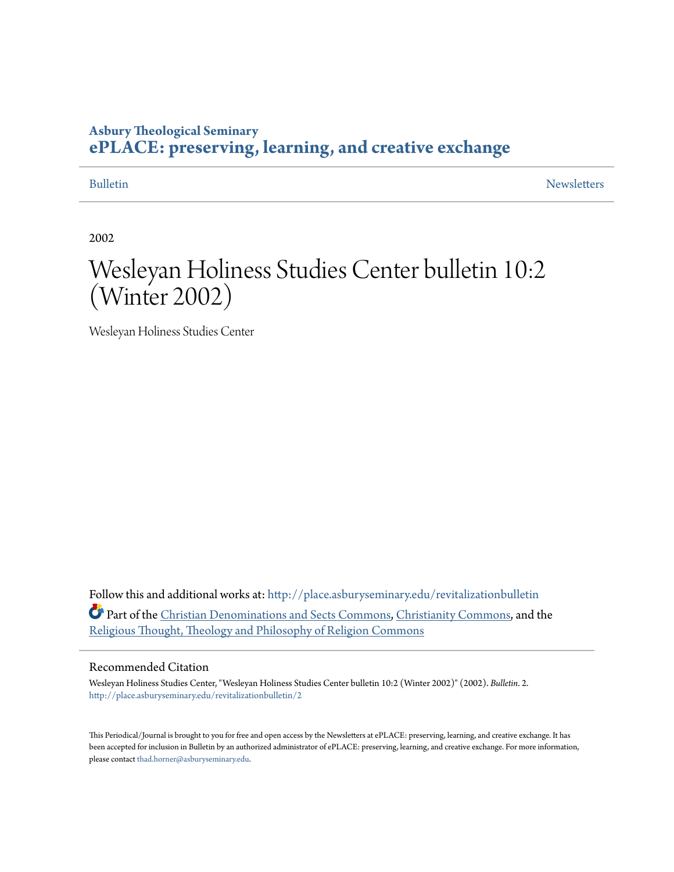#### **Asbury Theological Seminary [ePLACE: preserving, learning, and creative exchange](http://place.asburyseminary.edu?utm_source=place.asburyseminary.edu%2Frevitalizationbulletin%2F2&utm_medium=PDF&utm_campaign=PDFCoverPages)**

[Bulletin](http://place.asburyseminary.edu/revitalizationbulletin?utm_source=place.asburyseminary.edu%2Frevitalizationbulletin%2F2&utm_medium=PDF&utm_campaign=PDFCoverPages) [Newsletters](http://place.asburyseminary.edu/revitalizationnewsletters?utm_source=place.asburyseminary.edu%2Frevitalizationbulletin%2F2&utm_medium=PDF&utm_campaign=PDFCoverPages)

2002

## Wesleyan Holiness Studies Center bulletin 10:2 (Winter 2002)

Wesleyan Holiness Studies Center

Follow this and additional works at: [http://place.asburyseminary.edu/revitalizationbulletin](http://place.asburyseminary.edu/revitalizationbulletin?utm_source=place.asburyseminary.edu%2Frevitalizationbulletin%2F2&utm_medium=PDF&utm_campaign=PDFCoverPages) Part of the [Christian Denominations and Sects Commons](http://network.bepress.com/hgg/discipline/1184?utm_source=place.asburyseminary.edu%2Frevitalizationbulletin%2F2&utm_medium=PDF&utm_campaign=PDFCoverPages), [Christianity Commons,](http://network.bepress.com/hgg/discipline/1181?utm_source=place.asburyseminary.edu%2Frevitalizationbulletin%2F2&utm_medium=PDF&utm_campaign=PDFCoverPages) and the [Religious Thought, Theology and Philosophy of Religion Commons](http://network.bepress.com/hgg/discipline/544?utm_source=place.asburyseminary.edu%2Frevitalizationbulletin%2F2&utm_medium=PDF&utm_campaign=PDFCoverPages)

#### Recommended Citation

Wesleyan Holiness Studies Center, "Wesleyan Holiness Studies Center bulletin 10:2 (Winter 2002)" (2002). *Bulletin*. 2. [http://place.asburyseminary.edu/revitalizationbulletin/2](http://place.asburyseminary.edu/revitalizationbulletin/2?utm_source=place.asburyseminary.edu%2Frevitalizationbulletin%2F2&utm_medium=PDF&utm_campaign=PDFCoverPages)

This Periodical/Journal is brought to you for free and open access by the Newsletters at ePLACE: preserving, learning, and creative exchange. It has been accepted for inclusion in Bulletin by an authorized administrator of ePLACE: preserving, learning, and creative exchange. For more information, please contact [thad.horner@asburyseminary.edu](mailto:thad.horner@asburyseminary.edu).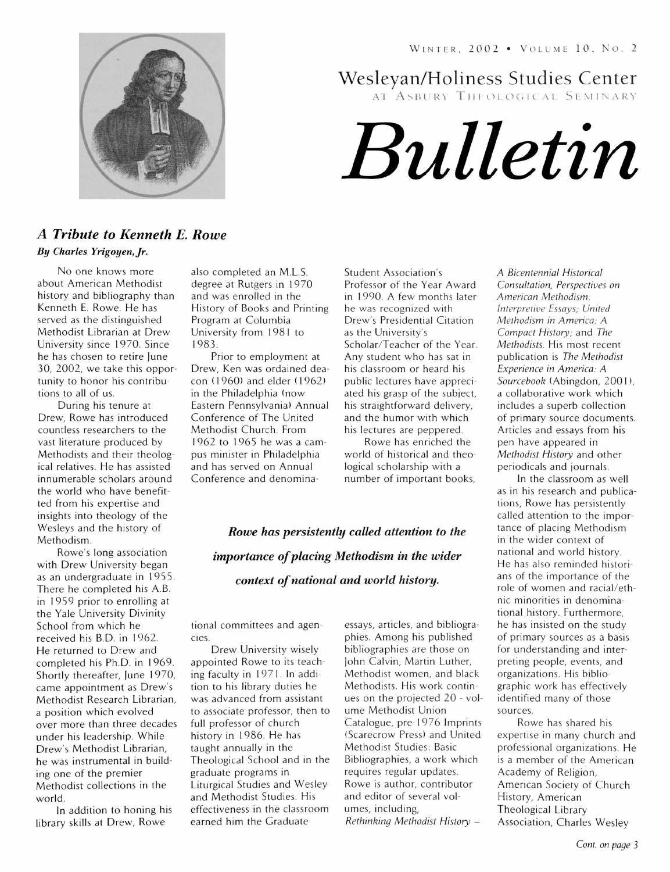

Wesleyan/Holiness Studies Center

AT ASBURY THEOLOGICAL SEMINARY

# *Bulletin*

#### *A Tribute to Kenneth* E. *Rowe By Charles Yrigoyen,Jr.*

No one knows more about American Methodist history and bibliography than Kenneth E. Rowe. He has served as the distinguished Methodist Librarian at Drew University since 1970 . Since he has chosen to retire June 30, 2002, we take this opportunity to honor his contributions to all of us.

During his tenure at Drew, Rowe has introduced countless researchers to the vast literature produced by Methodists and their theological relatives. He has assisted innumerable scholars around the world who have benefitted from his expertise and insights into theology of the Wesleys and the history of Methodism.

Rowe's long association with Drew University began as an undergraduate in 1955 . There he completed his A.B. in 1959 prior to enrolling at the Yale University Divinity School from which he received his B.D. in 1962. He returned to Drew and completed his Ph.D. in 1969. Shortly thereafter, June 1970, came appointment as Drew's Methodist Research Librarian, a position which evolved over more than three decades under his leadership. While Drew's Methodist Librarian, he was instrumental in building one of the premier Methodist collections in the world.

In addition to honing his library skills at Drew, Rowe

also completed an M.L.S. degree at Rutgers in 1970 and was enrolled in the History of Books and Printing Program at Columbia University from 1981 to 1983.

Prior to employment at Drew, Ken was ordained deacon (1960) and elder (1962) in the Philadelphia (now Eastern Pennsylvania) Annual Conference of The United Methodist Church. From 1962 to 1965 he was a campus minister in Philadelphia and has served on Annual Conference and denominaStudent Association's Professor of the Year Award in 1990. A few months later he was recognized with Drew's Presidential Citation as the University's Scholar/Teacher of the Year. Any student who has sat in his classroom or heard his public lectures have appreciated his grasp of the subject, his straightforward delivery, and the humor with which his lectures are peppered.

Rowe has enriched the world of historical and theological scholarship with a number of important books,

*Rowe has persistently called attention to the importance of placing Methodism in the wider context of national and world history.* 

tional committees and agencies.

Drew University wisely appointed Rowe to its teaching faculty in 197 1. In addition to his library duties he was advanced from assistant to associate professor, then to full professor of church history in 1986. He has taught annually in the Theological School and in the graduate programs in Liturgical Studies and Wesley and Methodist Studies. His effectiveness in the classroom earned him the Graduate

essays, articles, and bibliographies. Among his published bibliographies are those on John Calvin, Martin Luther, Methodist women, and black Methodists. His work continues on the projected 20 - volume Methodist Union Catalogue, pre-1976 Imprints (Scarecrow Press) and United Methodist Studies: Basic Bibliographies, a work which requires regular updates. Rowe is author, contributor and editor of several volumes, including, *Rethinking Methodist History -*

A *Bicentennial Historical Consultation, Perspectives on American Methodism : Interpretive Essays; United Methodism in America:* A *Compact History; and The Methodists*. His most recent publication is *The Methodist Experience in America:* A *Sourcebook* (Abingdon, 200 I), a collaborative work which includes a superb collection of primary source documents. Articles and essays from his pen have appeared in *Methodist History* and other periodicals and journals.

In the classroom as well as in his research and publications, Rowe has persistently called attention to the importance of placing Methodism in the wider context of national and world history. He has also reminded historians of the importance of the role of women and racial/ethnic minorities in denominational history. Furthermore, he has insisted on the study of primary sources as a basis for understanding and interpreting people, events, and organizations. His bibliographic work has effectively identified many of those sources.

Rowe has shared his expertise in many church and professional organizations. He is a member of the American Academy of Religion, American Society of Church History, American Theological Library Association, Charles Wesley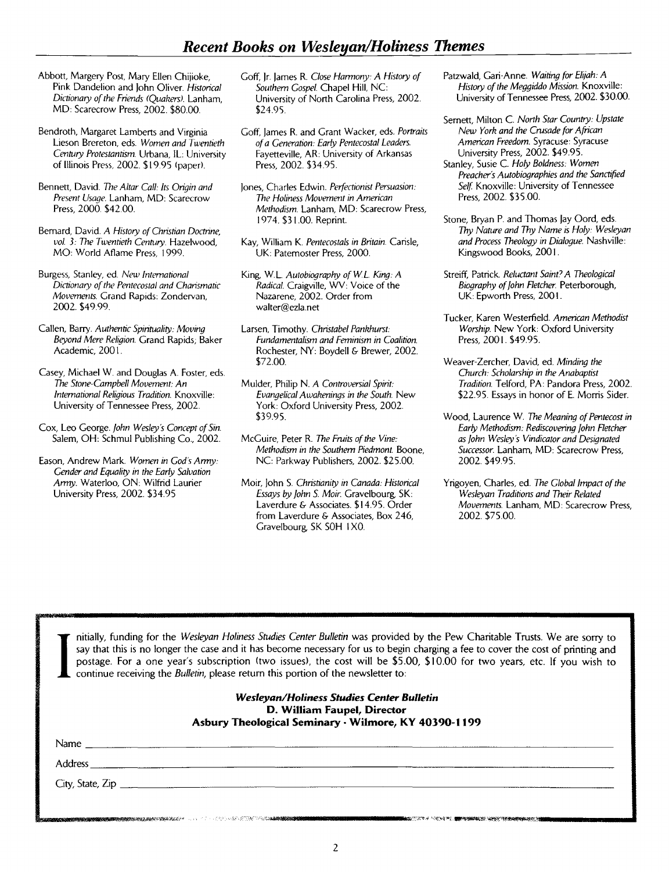- Abbott, Margery Post, Mary Ellen Chijioke, Pink Dandelion and lohn Oliver. *Historical Dictionary of the Friends (Quakers).* Lanham, MD: Scarecrow Press, 2002. \$80.00.
- Bendroth, Margaret Lamberts and Virginia Lieson Brereton, eds. *Women and Twentieth Century Protestantism.* Urbana, IL: University of Illinois Press, 2002. \$19.95 (paper).
- Bennett, David. *The Altar Call: Its Origin and Present Usage.* Lanham, MD: Scarecrow Press, 2000. \$42.00.
- Bernard, David. A *History of Christian Doctrine, vol.* 3: *The Twentieth Century.* Hazelwood, MO: World Aflame Press, 1999.
- Burgess, Stanley, ed. *New International Dictionary of the Pentecostal and Charismatic Movements.* Grand Rapids: Zondervan, 2002. \$49.99.
- Callen, Barry. Authentic Spirituality: Moving *Beyond Mere Religion.* Grand Rapids; Baker Academic, 2001.
- Casey, Michael W. and Douglas A. Foster, eds. *The Stone-Campbell Movement: An International Religious Tradition.* Knoxville: University of Tennessee Press, 2002.
- Cox, Leo George. *fohn Wesley's Concept of Sin.*  Salem, OH: Schmul Publishing Co., 2002.
- Eason, Andrew Mark. *Women in God's Army: Gender and Equality in the Early Salvation Army.* Waterloo, ON: Wilfrid Laurier University Press, 2002. \$34.95
- Goff, Ir. lames R. *Close Harmony.'* A *History of Southern Gospel.* Chapel Hill, NC: University of North Carolina Press, 2002. \$24.95.
- Goff, lames R. and Grant Wacker, eds. *Portraits of a Generation: Early Pentecostal Leaders.*  Fayetteville, AR: University of Arkansas Press, 2002. \$34.95.
- lones, Charles Edwin. *Perfectionist Persuasion: The Holiness Movement in American Methodism.* Lanham, MD: Scarecrow Press, 1974. \$31.00. Reprint.
- Kay, William K. *Pentecostals in Britain.* Carisle, UK: Paternoster Press, 2000.
- King, w.L. *Autobiography ofWL King:* A *Radical.* Craigville, WV: Voice of the Nazarene, 2002. Order from walter@ezla.net
- Larsen, Timothy. *Christabel Pankhurst: Fundamentalism and Feminism in Coalition.*  Rochester, NY: Boydell & Brewer, 2002. \$72.00.
- Mulder, Philip N. A *Controversial Spirit: Evangelical Awakenings in the South.* New York: Oxford University Press, 2002. \$39.95.
- McGuire, Peter R. *The Fruits of the Vine: Methodism in the Southern Piedmont.* Boone, NC: Parkway Publishers, 2002. \$25.00.
- Moir, lohn S. *Christianity in Canada: Historical Essays by fohn* S. *Moir.* Gravelbourg, SK: Laverdure & Associates. \$14.95. Order from Laverdure & Associates, Box 246, Gravelbourg, SK SOH I XO.
- Patzwald, Gari-Anne. *Waiting for Elijah:* A *History of the Meggiddo Mission.* Knoxville: University of Tennessee Press, 2002. \$30.00.
- Semett, Milton C. *North Star Country: Upstate New York and the Crusade for African American Freedom.* Syracuse: Syracuse University Press, 2002. \$49.95.
- Stanley, Susie C. *Holy Boldness: Women Preacher's Autobiographies and the Sanctified Self* Knoxville: University of Tennessee Press, 2002. \$35.00.
- Stone, Bryan P. and Thomas Jay Oord, eds. *Thy Nature and Thy Name* is *Holy: Wesleyan and Process Theology in Dialogue.* Nashville: Kingswood Books, 2001.
- Streiff, Patrick. *Reluctant Saint.?* A *Theological Biography of fohn Retcher.* Peterborough, UK: Epworth Press, 200 I.
- Tucker, Karen Westerfield. *American Methodist Worship.* New York: Oxford University Press, 2001. \$49.95.
- Weaver-Zercher, David, ed. *Minding the Church: Scholarship in the Anabaptist*  **Tradition. Telford, PA: Pandora Press, 2002.** \$22.95. Essays in honor of E. Morris Sider.
- Wood, Laurence W. *The Meaning of Pentecost in Early Methodism: Rediscovering fohn Retcher as fohn Wesley's Vindicator and Designated Successor.* Lanham, MD: Scarecrow Press, 2002. \$49.95.
- Y rigoyen, Charles, ed. *The Global Impact of the Wesleyan Traditions and Their Related Movements.* Lanham, MD: Scarecrow Press, 2002. \$75.00.

I nitially, funding for the *Wesleyan Holiness Studies Center Bulletin* was provided by the Pew Charitable Trusts. We are sorry to say that this is no longer the case and it has become necessary for us to begin charging a say that this is no longer the case and it has become necessary for us to begin charging a fee to cover the cost of printing and postage. For a one year's subscription (two issues), the cost will be \$5.00, **\$10.00** for two years, etc. **If** you wish to continue receiving the *Bulletin,* please return this portion of the newsletter to:

#### *Wesleyan/Holiness Studies Center Bulletin*  **D. William Faupel, Director**  Asbury Theological Seminary · Wilmore, KY 40390-1199

 $N_{\rm{lambda}}$ 

Address \_\_\_\_\_\_\_\_\_\_\_\_\_\_\_\_\_\_\_\_\_\_\_\_\_\_\_\_\_\_\_\_\_\_\_\_\_\_\_\_\_\_\_\_\_\_\_\_\_\_\_\_\_\_\_\_\_\_\_\_\_\_\_\_\_\_\_\_\_\_\_\_\_\_\_\_\_\_\_\_ \_\_

City, State, Zip \_\_\_\_\_\_\_\_\_\_\_\_\_\_\_\_\_\_\_\_\_\_\_\_\_\_\_\_\_\_\_\_\_\_\_\_\_\_\_\_\_\_\_\_\_\_\_\_\_\_\_\_\_\_\_\_\_\_\_\_\_\_\_\_\_\_\_\_\_\_\_\_\_ \_

**AND THE REAL PROPERTY CONTROLLED AND THE REAL PROPERTY AND RELEASE AND RELEASE PROPERTY AND RELEASE.** 

.<br>News a state of the second contract of the contract of the second contract of the second contract of the second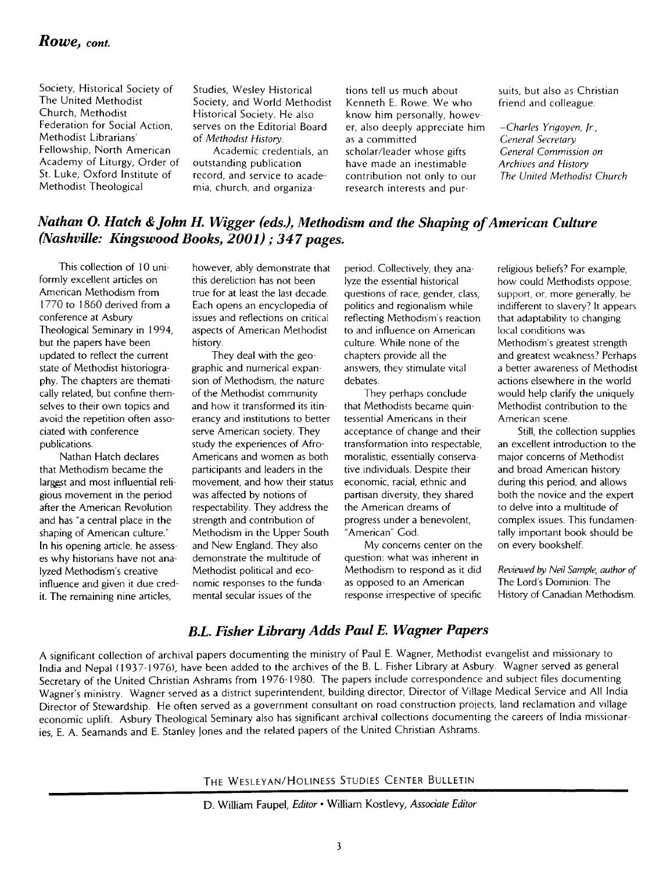#### *Rowe, cont.*

Society, Historical Society of The United Methodist Church, Methodist Federation for Social Action, Methodist Librarians' Fellowship, North American Academy of Liturgy, Order of St. Luke, Oxford Institute of Methodist Theological

Studies, Wesley Historical Society, and World Methodist Historical Society. He also serves on the Editorial Board of *Methodist History.* 

Academic credentials, an outstanding publication record, and service to academia, church, and organiza-

tions tell us much about Kenneth E. Rowe. We who know him personally, howev· er, also deeply appreciate him as a committed scholar/leader whose gifts have made an inestimable contribution not only to our research interests and pur-

suits, but also as Christian friend and colleague.

*-Charles Yrigoyen, Jr., General Secretary General Commission on Archives and History The United Methodist Church* 

#### *Nathan* O. *Hatch* & *John H. Wigger (eds.), Methodism and the Shaping of American Culture (Nashville: Kingswood Books, 2001);* 347 *pages.*

This collection of 10 uniformly excellent articles on American Methodism from 1770 to 1860 derived from a conference at Asbury Theological Seminary in 1994, but the papers have been updated to reflect the current state of Methodist historiography. The chapters are thematically related, but confine themselves to their own topics and avoid the repetition often associated with conference publications.

Nathan Hatch declares that Methodism became the largest and most influential religious movement in the period after the American Revolution and has "a central place in the shaping of American culture." In his opening article, he assesses why historians have not analyzed Methodism's creative influence and given it due credit. The remaining nine articles,

however, ably demonstrate that this dereliction has not been true for at least the last decade. Each opens an encyclopedia of issues and reflections on critical aspects of American Methodist history.

They deal with the geographic and numerical expansion of Methodism, the nature of the Methodist community and how it transformed its itinerancy and institutions to better serve American society. They study the experiences of Afro-Americans and women as both participants and leaders in the movement, and how their status was affected by notions of respectability. They address the strength and contribution of Methodism in the Upper South and New England. They also demonstrate the multitude of Methodist political and economic responses to the fundamental secular issues of the

period. Collectively, they analyze the essential historical questions of race, gender, class, politics and regionalism while reflecting Methodism's reaction to and influence on American culture. While none of the chapters provide all the answers, they stimulate vital debates.

They perhaps conclude that Methodists became quintessential Americans in their acceptance of change and their transformation into respectable, moralistic, essentially conservative individuals. Despite their economic, racial, ethnic and partisan diversity, they shared the American dreams of progress under a benevolent, "American" God.

My concerns center on the question: what was inherent in Methodism to respond as it did as opposed to an American response irrespective of specific

religious beliefs? For example, how could Methodists oppose, support, or, more generally, be indifferent to slavery? It appears that adaptability to changing local conditions was Methodism's greatest strength and greatest weakness' Perhaps a better awareness of Methodist actions elsewhere in the world would help clarify the uniquely Methodist contribution to the American scene.

Still, the collection supplies an excellent introduction to the major concerns of Methodist and broad American history during this period, and allows both the novice and the expert to delve into a multitude of complex issues. This fundamentally important book should be on every bookshelf.

*Reviewed by Neil Sample, author of*  The Lord's Dominion: The History of Canadian Methodism.

#### *B.L. Fisher Library Adds Paul E. Wagner Papers*

A significant collection of archival papers documenting the ministry of Paul E. Wagner, Methodist evangelist and missionary to India and Nepal (1937-1976), have been added to the archives of the B. L. Fisher Library at Asbury. Wagner served as general Secretary of the United Christian Ashrams from 1976-1980. The papers include correspondence and subject files documenting Wagner's ministry. Wagner served as a district superintendent, building director, Director of Village Medical Service and All India Director of Stewardship. He often served as a government consultant on road construction projects, land reclamation and village economic uplift. Asbury Theological Seminary also has significant archival collections documenting the careers of India missionaries, E. A. Seamands and E. Stanley lones and the related papers of the United Christian Ashrams.

THE WESLEYAN/HOLINESS STUDIES CENTER BULLETIN